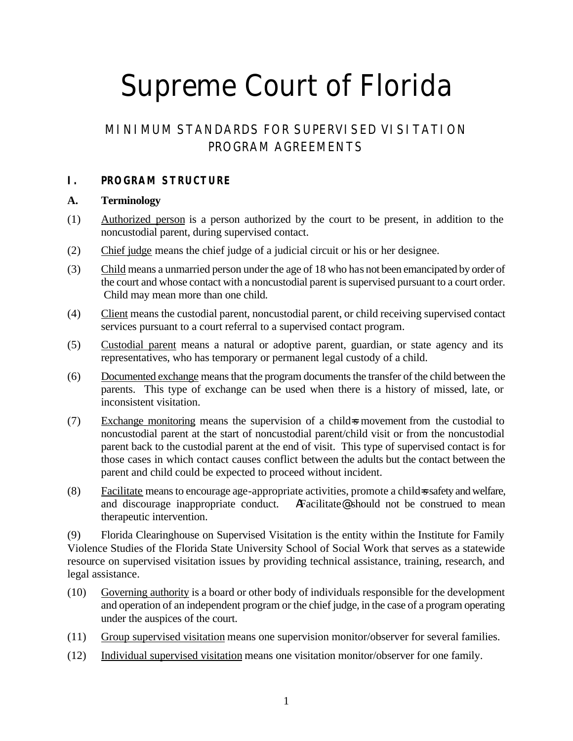# Supreme Court of Florida

# MINIMUM STANDARDS FOR SUPERVISED VISITATION PROGRAM AGREEMENTS

# **I. PROGRAM STRUCTURE**

#### **A. Terminology**

- (1) Authorized person is a person authorized by the court to be present, in addition to the noncustodial parent, during supervised contact.
- (2) Chief judge means the chief judge of a judicial circuit or his or her designee.
- (3) Child means a unmarried person under the age of 18 who has not been emancipated by order of the court and whose contact with a noncustodial parent is supervised pursuant to a court order. Child may mean more than one child.
- (4) Client means the custodial parent, noncustodial parent, or child receiving supervised contact services pursuant to a court referral to a supervised contact program.
- (5) Custodial parent means a natural or adoptive parent, guardian, or state agency and its representatives, who has temporary or permanent legal custody of a child.
- (6) Documented exchange means that the program documents the transfer of the child between the parents. This type of exchange can be used when there is a history of missed, late, or inconsistent visitation.
- (7) Exchange monitoring means the supervision of a child=s movement from the custodial to noncustodial parent at the start of noncustodial parent/child visit or from the noncustodial parent back to the custodial parent at the end of visit. This type of supervised contact is for those cases in which contact causes conflict between the adults but the contact between the parent and child could be expected to proceed without incident.
- (8) Facilitate means to encourage age-appropriate activities, promote a child=s safety and welfare, and discourage inappropriate conduct. AFacilitate@ should not be construed to mean therapeutic intervention.

(9) Florida Clearinghouse on Supervised Visitation is the entity within the Institute for Family Violence Studies of the Florida State University School of Social Work that serves as a statewide resource on supervised visitation issues by providing technical assistance, training, research, and legal assistance.

- (10) Governing authority is a board or other body of individuals responsible for the development and operation of an independent program or the chief judge, in the case of a program operating under the auspices of the court.
- (11) Group supervised visitation means one supervision monitor/observer for several families.
- (12) Individual supervised visitation means one visitation monitor/observer for one family.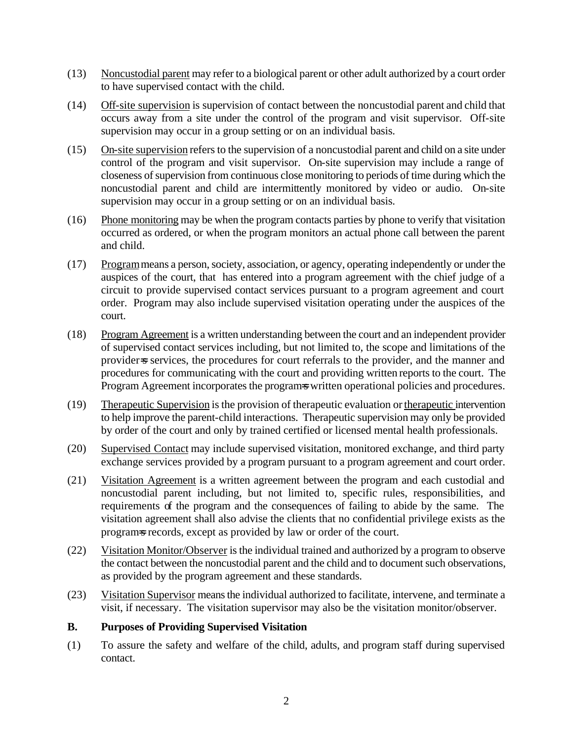- (13) Noncustodial parent may refer to a biological parent or other adult authorized by a court order to have supervised contact with the child.
- (14) Off-site supervision is supervision of contact between the noncustodial parent and child that occurs away from a site under the control of the program and visit supervisor. Off-site supervision may occur in a group setting or on an individual basis.
- (15) On-site supervision refers to the supervision of a noncustodial parent and child on a site under control of the program and visit supervisor. On-site supervision may include a range of closeness of supervision from continuous close monitoring to periods of time during which the noncustodial parent and child are intermittently monitored by video or audio. On-site supervision may occur in a group setting or on an individual basis.
- (16) Phone monitoring may be when the program contacts parties by phone to verify that visitation occurred as ordered, or when the program monitors an actual phone call between the parent and child.
- (17) Program means a person, society, association, or agency, operating independently or under the auspices of the court, that has entered into a program agreement with the chief judge of a circuit to provide supervised contact services pursuant to a program agreement and court order. Program may also include supervised visitation operating under the auspices of the court.
- (18) Program Agreement is a written understanding between the court and an independent provider of supervised contact services including, but not limited to, the scope and limitations of the provider=s services, the procedures for court referrals to the provider, and the manner and procedures for communicating with the court and providing written reports to the court. The Program Agreement incorporates the programs written operational policies and procedures.
- (19) Therapeutic Supervision is the provision of therapeutic evaluation or therapeutic intervention to help improve the parent-child interactions. Therapeutic supervision may only be provided by order of the court and only by trained certified or licensed mental health professionals.
- (20) Supervised Contact may include supervised visitation, monitored exchange, and third party exchange services provided by a program pursuant to a program agreement and court order.
- (21) Visitation Agreement is a written agreement between the program and each custodial and noncustodial parent including, but not limited to, specific rules, responsibilities, and requirements of the program and the consequences of failing to abide by the same. The visitation agreement shall also advise the clients that no confidential privilege exists as the programs records, except as provided by law or order of the court.
- (22) Visitation Monitor/Observer is the individual trained and authorized by a program to observe the contact between the noncustodial parent and the child and to document such observations, as provided by the program agreement and these standards.
- (23) Visitation Supervisor means the individual authorized to facilitate, intervene, and terminate a visit, if necessary. The visitation supervisor may also be the visitation monitor/observer.

#### **B. Purposes of Providing Supervised Visitation**

(1) To assure the safety and welfare of the child, adults, and program staff during supervised contact.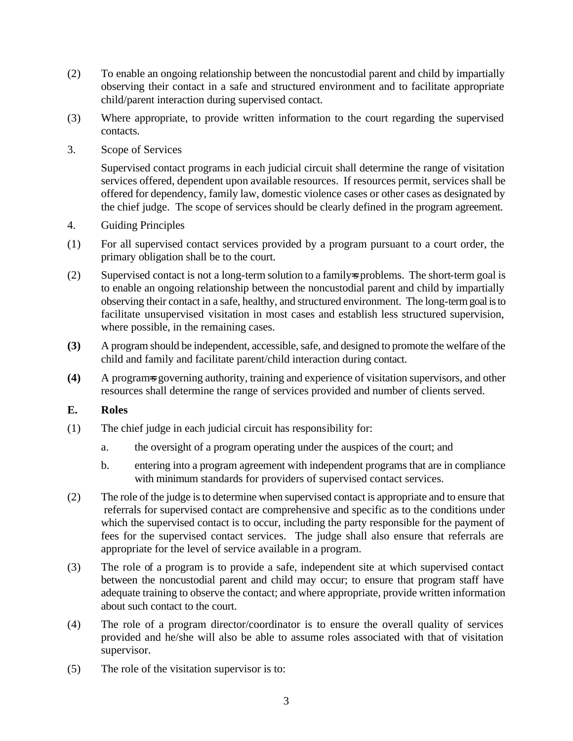- (2) To enable an ongoing relationship between the noncustodial parent and child by impartially observing their contact in a safe and structured environment and to facilitate appropriate child/parent interaction during supervised contact.
- (3) Where appropriate, to provide written information to the court regarding the supervised contacts.
- 3. Scope of Services

Supervised contact programs in each judicial circuit shall determine the range of visitation services offered, dependent upon available resources. If resources permit, services shall be offered for dependency, family law, domestic violence cases or other cases as designated by the chief judge. The scope of services should be clearly defined in the program agreement.

- 4. Guiding Principles
- (1) For all supervised contact services provided by a program pursuant to a court order, the primary obligation shall be to the court.
- (2) Supervised contact is not a long-term solution to a family=s problems. The short-term goal is to enable an ongoing relationship between the noncustodial parent and child by impartially observing their contact in a safe, healthy, and structured environment. The long-term goal is to facilitate unsupervised visitation in most cases and establish less structured supervision, where possible, in the remaining cases.
- **(3)** A program should be independent, accessible, safe, and designed to promote the welfare of the child and family and facilitate parent/child interaction during contact.
- **(4)** A program=s governing authority, training and experience of visitation supervisors, and other resources shall determine the range of services provided and number of clients served.

#### **E. Roles**

- (1) The chief judge in each judicial circuit has responsibility for:
	- a. the oversight of a program operating under the auspices of the court; and
	- b. entering into a program agreement with independent programs that are in compliance with minimum standards for providers of supervised contact services.
- (2) The role of the judge is to determine when supervised contact is appropriate and to ensure that referrals for supervised contact are comprehensive and specific as to the conditions under which the supervised contact is to occur, including the party responsible for the payment of fees for the supervised contact services. The judge shall also ensure that referrals are appropriate for the level of service available in a program.
- (3) The role of a program is to provide a safe, independent site at which supervised contact between the noncustodial parent and child may occur; to ensure that program staff have adequate training to observe the contact; and where appropriate, provide written information about such contact to the court.
- (4) The role of a program director/coordinator is to ensure the overall quality of services provided and he/she will also be able to assume roles associated with that of visitation supervisor.
- (5) The role of the visitation supervisor is to: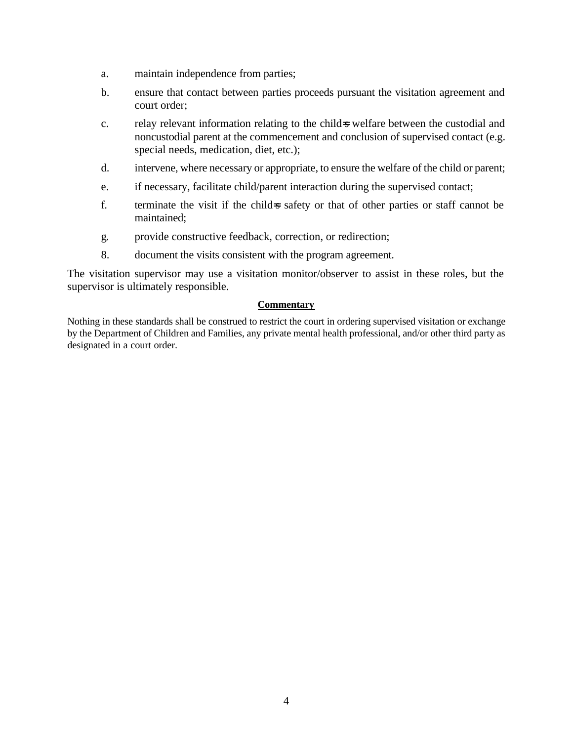- a. maintain independence from parties;
- b. ensure that contact between parties proceeds pursuant the visitation agreement and court order;
- c. relay relevant information relating to the child=s welfare between the custodial and noncustodial parent at the commencement and conclusion of supervised contact (e.g. special needs, medication, diet, etc.);
- d. intervene, where necessary or appropriate, to ensure the welfare of the child or parent;
- e. if necessary, facilitate child/parent interaction during the supervised contact;
- f. terminate the visit if the child=s safety or that of other parties or staff cannot be maintained;
- g. provide constructive feedback, correction, or redirection;
- 8. document the visits consistent with the program agreement.

The visitation supervisor may use a visitation monitor/observer to assist in these roles, but the supervisor is ultimately responsible.

#### **Commentary**

Nothing in these standards shall be construed to restrict the court in ordering supervised visitation or exchange by the Department of Children and Families, any private mental health professional, and/or other third party as designated in a court order.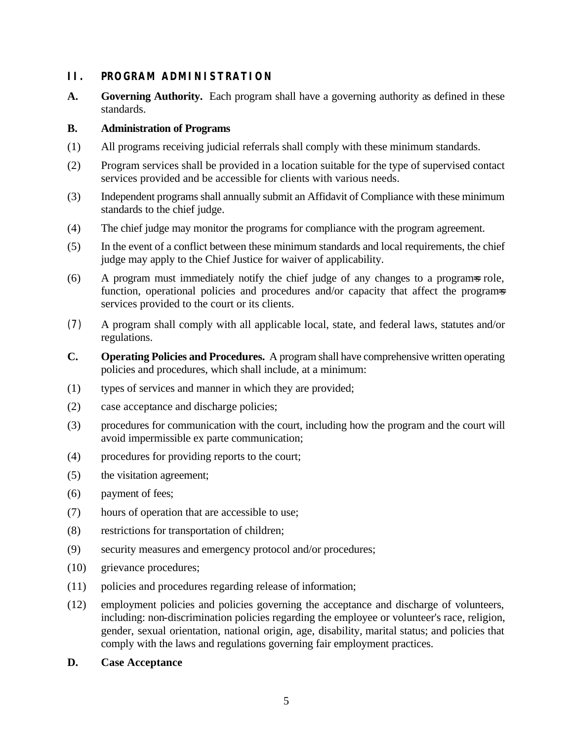# **II. PROGRAM ADMINISTRATION**

**A. Governing Authority.** Each program shall have a governing authority as defined in these standards.

#### **B. Administration of Programs**

- (1) All programs receiving judicial referrals shall comply with these minimum standards.
- (2) Program services shall be provided in a location suitable for the type of supervised contact services provided and be accessible for clients with various needs.
- (3) Independent programs shall annually submit an Affidavit of Compliance with these minimum standards to the chief judge.
- (4) The chief judge may monitor the programs for compliance with the program agreement.
- (5) In the event of a conflict between these minimum standards and local requirements, the chief judge may apply to the Chief Justice for waiver of applicability.
- (6) A program must immediately notify the chief judge of any changes to a program=s role, function, operational policies and procedures and/or capacity that affect the programs services provided to the court or its clients.
- (7) A program shall comply with all applicable local, state, and federal laws, statutes and/or regulations.
- **C. Operating Policies and Procedures.** A program shall have comprehensive written operating policies and procedures, which shall include, at a minimum:
- (1) types of services and manner in which they are provided;
- (2) case acceptance and discharge policies;
- (3) procedures for communication with the court, including how the program and the court will avoid impermissible ex parte communication;
- (4) procedures for providing reports to the court;
- (5) the visitation agreement;
- (6) payment of fees;
- (7) hours of operation that are accessible to use;
- (8) restrictions for transportation of children;
- (9) security measures and emergency protocol and/or procedures;
- (10) grievance procedures;
- (11) policies and procedures regarding release of information;
- (12) employment policies and policies governing the acceptance and discharge of volunteers, including: non-discrimination policies regarding the employee or volunteer's race, religion, gender, sexual orientation, national origin, age, disability, marital status; and policies that comply with the laws and regulations governing fair employment practices.
- **D. Case Acceptance**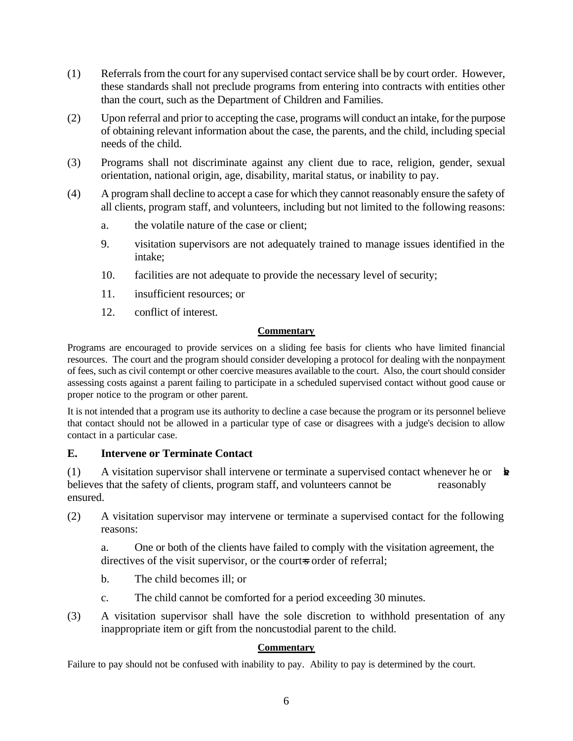- (1) Referrals from the court for any supervised contact service shall be by court order. However, these standards shall not preclude programs from entering into contracts with entities other than the court, such as the Department of Children and Families.
- (2) Upon referral and prior to accepting the case, programs will conduct an intake, for the purpose of obtaining relevant information about the case, the parents, and the child, including special needs of the child.
- (3) Programs shall not discriminate against any client due to race, religion, gender, sexual orientation, national origin, age, disability, marital status, or inability to pay.
- (4) A program shall decline to accept a case for which they cannot reasonably ensure the safety of all clients, program staff, and volunteers, including but not limited to the following reasons:
	- a. the volatile nature of the case or client;
	- 9. visitation supervisors are not adequately trained to manage issues identified in the intake;
	- 10. facilities are not adequate to provide the necessary level of security;
	- 11. insufficient resources; or
	- 12. conflict of interest.

#### **Commentary**

Programs are encouraged to provide services on a sliding fee basis for clients who have limited financial resources. The court and the program should consider developing a protocol for dealing with the nonpayment of fees, such as civil contempt or other coercive measures available to the court. Also, the court should consider assessing costs against a parent failing to participate in a scheduled supervised contact without good cause or proper notice to the program or other parent.

It is not intended that a program use its authority to decline a case because the program or its personnel believe that contact should not be allowed in a particular type of case or disagrees with a judge's decision to allow contact in a particular case.

#### **E. Intervene or Terminate Contact**

(1) A visitation supervisor shall intervene or terminate a supervised contact whenever he or  $\mathbf{\hat{k}}$ believes that the safety of clients, program staff, and volunteers cannot be reasonably ensured.

(2) A visitation supervisor may intervene or terminate a supervised contact for the following reasons:

a. One or both of the clients have failed to comply with the visitation agreement, the directives of the visit supervisor, or the court-s order of referral;

- b. The child becomes ill; or
- c. The child cannot be comforted for a period exceeding 30 minutes.
- (3) A visitation supervisor shall have the sole discretion to withhold presentation of any inappropriate item or gift from the noncustodial parent to the child.

#### **Commentary**

Failure to pay should not be confused with inability to pay. Ability to pay is determined by the court.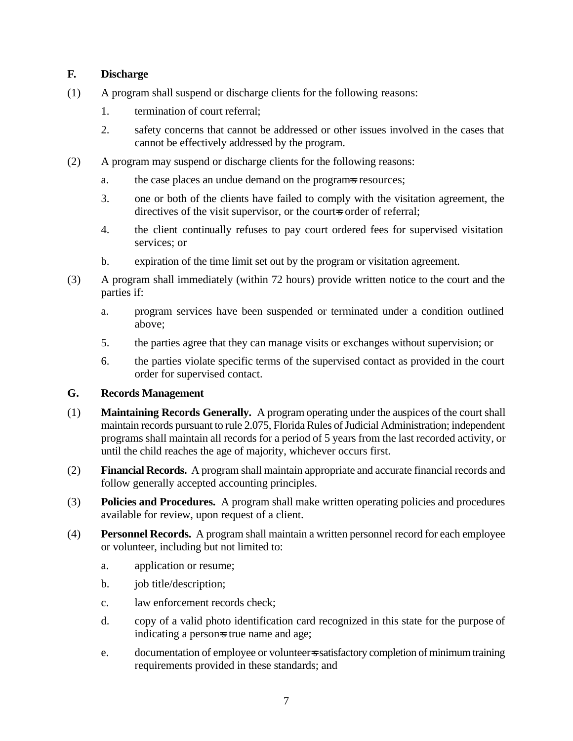### **F. Discharge**

- (1) A program shall suspend or discharge clients for the following reasons:
	- 1. termination of court referral;
	- 2. safety concerns that cannot be addressed or other issues involved in the cases that cannot be effectively addressed by the program.
- (2) A program may suspend or discharge clients for the following reasons:
	- a. the case places an undue demand on the programs resources;
	- 3. one or both of the clients have failed to comply with the visitation agreement, the directives of the visit supervisor, or the court-s order of referral;
	- 4. the client continually refuses to pay court ordered fees for supervised visitation services; or
	- b. expiration of the time limit set out by the program or visitation agreement.
- (3) A program shall immediately (within 72 hours) provide written notice to the court and the parties if:
	- a. program services have been suspended or terminated under a condition outlined above;
	- 5. the parties agree that they can manage visits or exchanges without supervision; or
	- 6. the parties violate specific terms of the supervised contact as provided in the court order for supervised contact.

#### **G. Records Management**

- (1) **Maintaining Records Generally.** A program operating under the auspices of the court shall maintain records pursuant to rule 2.075, Florida Rules of Judicial Administration; independent programs shall maintain all records for a period of 5 years from the last recorded activity, or until the child reaches the age of majority, whichever occurs first.
- (2) **Financial Records.** A program shall maintain appropriate and accurate financial records and follow generally accepted accounting principles.
- (3) **Policies and Procedures.** A program shall make written operating policies and procedures available for review, upon request of a client.
- (4) **Personnel Records.** A program shall maintain a written personnel record for each employee or volunteer, including but not limited to:
	- a. application or resume;
	- b. job title/description;
	- c. law enforcement records check;
	- d. copy of a valid photo identification card recognized in this state for the purpose of indicating a person-s true name and age;
	- e. documentation of employee or volunteer=s satisfactory completion of minimum training requirements provided in these standards; and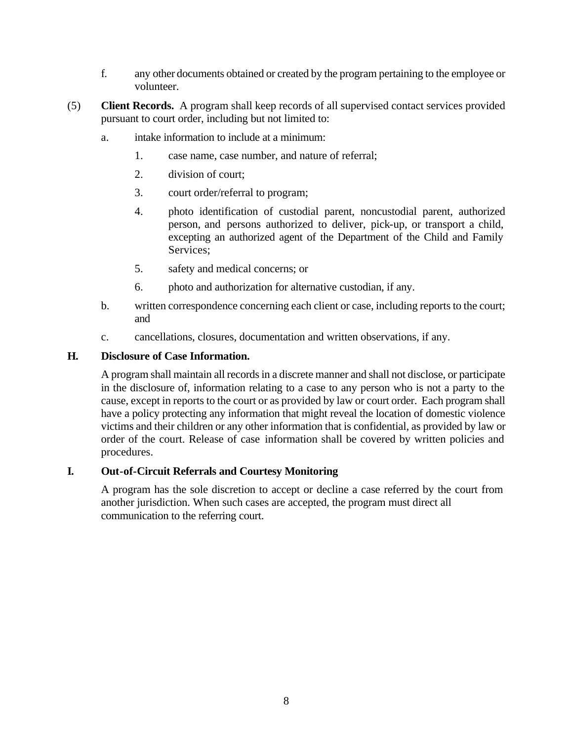- f. any other documents obtained or created by the program pertaining to the employee or volunteer.
- (5) **Client Records.** A program shall keep records of all supervised contact services provided pursuant to court order, including but not limited to:
	- a. intake information to include at a minimum:
		- 1. case name, case number, and nature of referral;
		- 2. division of court;
		- 3. court order/referral to program;
		- 4. photo identification of custodial parent, noncustodial parent, authorized person, and persons authorized to deliver, pick-up, or transport a child, excepting an authorized agent of the Department of the Child and Family Services;
		- 5. safety and medical concerns; or
		- 6. photo and authorization for alternative custodian, if any.
	- b. written correspondence concerning each client or case, including reports to the court; and
	- c. cancellations, closures, documentation and written observations, if any.

#### **H. Disclosure of Case Information.**

A program shall maintain all records in a discrete manner and shall not disclose, or participate in the disclosure of, information relating to a case to any person who is not a party to the cause, except in reports to the court or as provided by law or court order. Each program shall have a policy protecting any information that might reveal the location of domestic violence victims and their children or any other information that is confidential, as provided by law or order of the court. Release of case information shall be covered by written policies and procedures.

#### **I. Out-of-Circuit Referrals and Courtesy Monitoring**

A program has the sole discretion to accept or decline a case referred by the court from another jurisdiction. When such cases are accepted, the program must direct all communication to the referring court.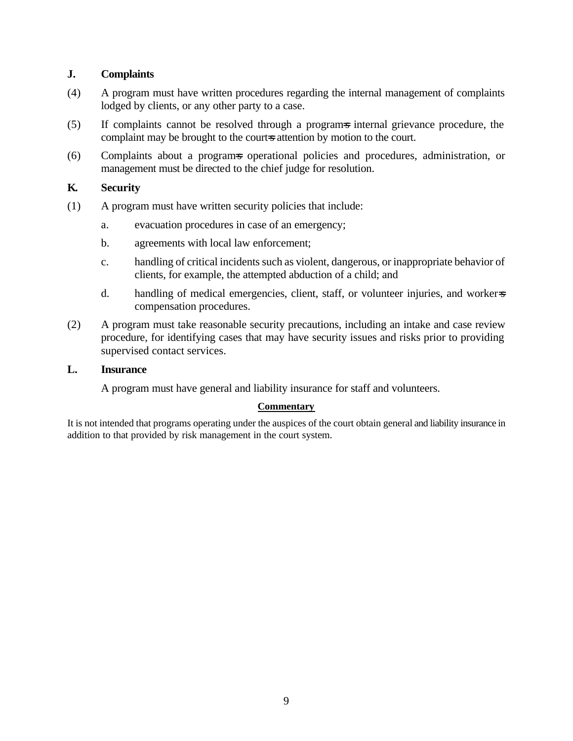#### **J. Complaints**

- (4) A program must have written procedures regarding the internal management of complaints lodged by clients, or any other party to a case.
- (5) If complaints cannot be resolved through a program=s internal grievance procedure, the complaint may be brought to the courts attention by motion to the court.
- (6) Complaints about a program=s operational policies and procedures, administration, or management must be directed to the chief judge for resolution.

#### **K. Security**

- (1) A program must have written security policies that include:
	- a. evacuation procedures in case of an emergency;
	- b. agreements with local law enforcement;
	- c. handling of critical incidents such as violent, dangerous, or inappropriate behavior of clients, for example, the attempted abduction of a child; and
	- d. handling of medical emergencies, client, staff, or volunteer injuries, and worker=s compensation procedures.
- (2) A program must take reasonable security precautions, including an intake and case review procedure, for identifying cases that may have security issues and risks prior to providing supervised contact services.

#### **L. Insurance**

A program must have general and liability insurance for staff and volunteers.

#### **Commentary**

It is not intended that programs operating under the auspices of the court obtain general and liability insurance in addition to that provided by risk management in the court system.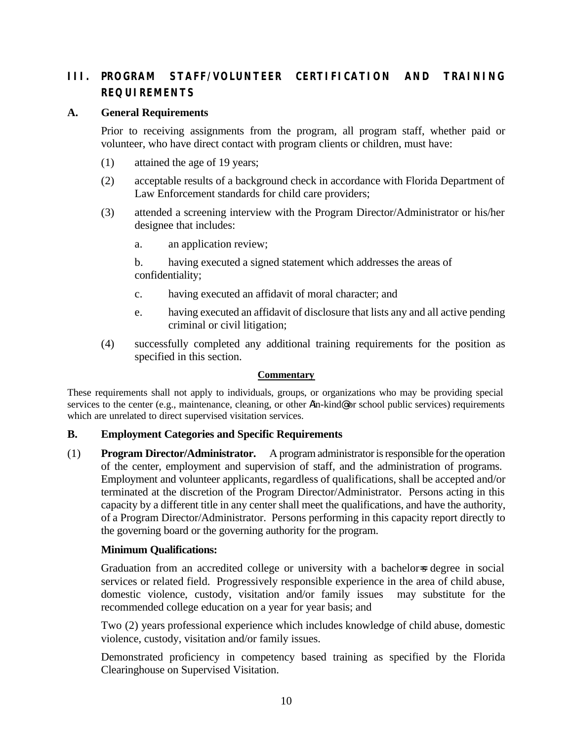# **III. PROGRAM STAFF/VOLUNTEER CERTIFICATION AND TRAINING REQUIREMENTS**

#### **A. General Requirements**

Prior to receiving assignments from the program, all program staff, whether paid or volunteer, who have direct contact with program clients or children, must have:

- (1) attained the age of 19 years;
- (2) acceptable results of a background check in accordance with Florida Department of Law Enforcement standards for child care providers;
- (3) attended a screening interview with the Program Director/Administrator or his/her designee that includes:
	- a. an application review;

b. having executed a signed statement which addresses the areas of confidentiality;

- c. having executed an affidavit of moral character; and
- e. having executed an affidavit of disclosure that lists any and all active pending criminal or civil litigation;
- (4) successfully completed any additional training requirements for the position as specified in this section.

#### **Commentary**

These requirements shall not apply to individuals, groups, or organizations who may be providing special services to the center (e.g., maintenance, cleaning, or other Ain-kind@ or school public services) requirements which are unrelated to direct supervised visitation services.

#### **B. Employment Categories and Specific Requirements**

(1) **Program Director/Administrator.** A program administrator is responsible for the operation of the center, employment and supervision of staff, and the administration of programs. Employment and volunteer applicants, regardless of qualifications, shall be accepted and/or terminated at the discretion of the Program Director/Administrator. Persons acting in this capacity by a different title in any center shall meet the qualifications, and have the authority, of a Program Director/Administrator. Persons performing in this capacity report directly to the governing board or the governing authority for the program.

#### **Minimum Qualifications:**

Graduation from an accredited college or university with a bachelor-s degree in social services or related field. Progressively responsible experience in the area of child abuse, domestic violence, custody, visitation and/or family issues may substitute for the recommended college education on a year for year basis; and

Two (2) years professional experience which includes knowledge of child abuse, domestic violence, custody, visitation and/or family issues.

Demonstrated proficiency in competency based training as specified by the Florida Clearinghouse on Supervised Visitation.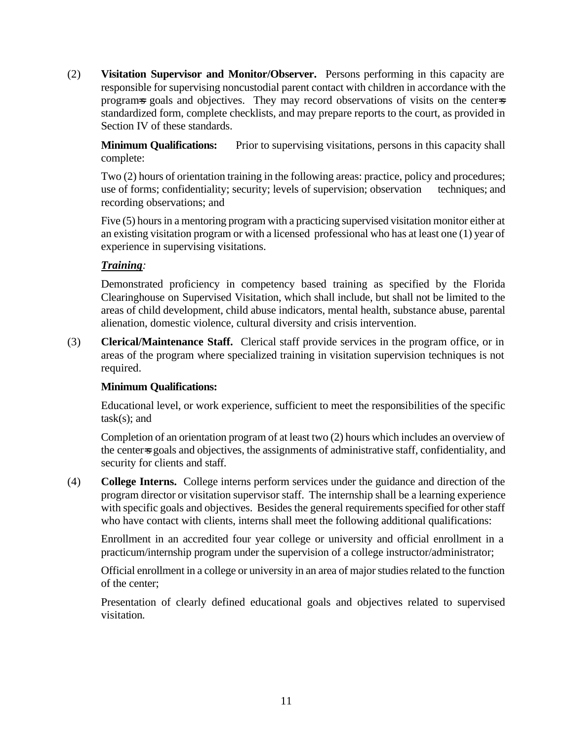(2) **Visitation Supervisor and Monitor/Observer.** Persons performing in this capacity are responsible for supervising noncustodial parent contact with children in accordance with the programs goals and objectives. They may record observations of visits on the centers standardized form, complete checklists, and may prepare reports to the court, as provided in Section IV of these standards.

**Minimum Qualifications:** Prior to supervising visitations, persons in this capacity shall complete:

Two (2) hours of orientation training in the following areas: practice, policy and procedures; use of forms; confidentiality; security; levels of supervision; observation techniques; and recording observations; and

Five (5) hours in a mentoring program with a practicing supervised visitation monitor either at an existing visitation program or with a licensed professional who has at least one (1) year of experience in supervising visitations.

# *Training:*

Demonstrated proficiency in competency based training as specified by the Florida Clearinghouse on Supervised Visitation, which shall include, but shall not be limited to the areas of child development, child abuse indicators, mental health, substance abuse, parental alienation, domestic violence, cultural diversity and crisis intervention.

(3) **Clerical/Maintenance Staff.** Clerical staff provide services in the program office, or in areas of the program where specialized training in visitation supervision techniques is not required.

#### **Minimum Qualifications:**

Educational level, or work experience, sufficient to meet the responsibilities of the specific  $task(s);$  and

Completion of an orientation program of at least two (2) hours which includes an overview of the center=s goals and objectives, the assignments of administrative staff, confidentiality, and security for clients and staff.

(4) **College Interns.** College interns perform services under the guidance and direction of the program director or visitation supervisor staff. The internship shall be a learning experience with specific goals and objectives. Besides the general requirements specified for other staff who have contact with clients, interns shall meet the following additional qualifications:

Enrollment in an accredited four year college or university and official enrollment in a practicum/internship program under the supervision of a college instructor/administrator;

Official enrollment in a college or university in an area of major studies related to the function of the center;

Presentation of clearly defined educational goals and objectives related to supervised visitation.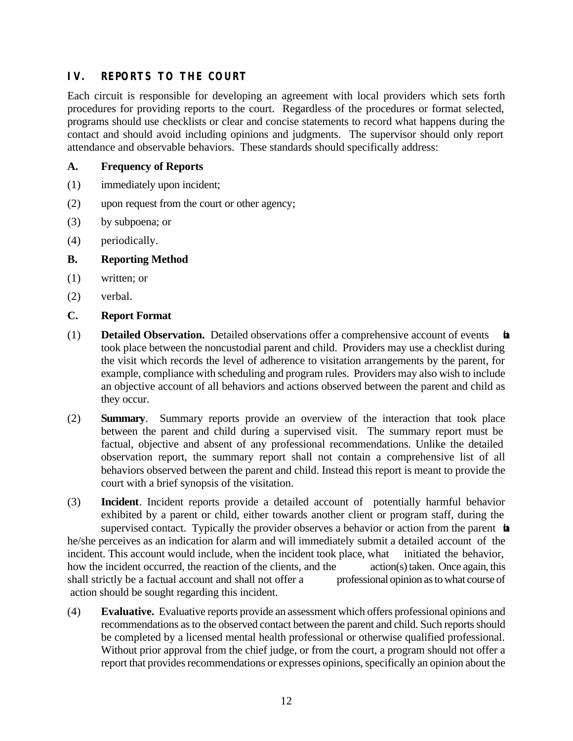# **IV. REPORTS TO THE COURT**

Each circuit is responsible for developing an agreement with local providers which sets forth procedures for providing reports to the court. Regardless of the procedures or format selected, programs should use checklists or clear and concise statements to record what happens during the contact and should avoid including opinions and judgments. The supervisor should only report attendance and observable behaviors. These standards should specifically address:

#### **A. Frequency of Reports**

- (1) immediately upon incident;
- (2) upon request from the court or other agency;
- (3) by subpoena; or
- (4) periodically.

#### **B. Reporting Method**

- (1) written; or
- (2) verbal.

#### **C. Report Format**

- (1) **Detailed Observation.** Detailed observations offer a comprehensive account of events that took place between the noncustodial parent and child. Providers may use a checklist during the visit which records the level of adherence to visitation arrangements by the parent, for example, compliance with scheduling and program rules. Providers may also wish to include an objective account of all behaviors and actions observed between the parent and child as they occur.
- (2) **Summary**. Summary reports provide an overview of the interaction that took place between the parent and child during a supervised visit. The summary report must be factual, objective and absent of any professional recommendations. Unlike the detailed observation report, the summary report shall not contain a comprehensive list of all behaviors observed between the parent and child. Instead this report is meant to provide the court with a brief synopsis of the visitation.
- (3) **Incident**. Incident reports provide a detailed account of potentially harmful behavior exhibited by a parent or child, either towards another client or program staff, during the supervised contact. Typically the provider observes a behavior or action from the parent **the** he/she perceives as an indication for alarm and will immediately submit a detailed account of the incident. This account would include, when the incident took place, what initiated the behavior, how the incident occurred, the reaction of the clients, and the action(s) taken. Once again, this shall strictly be a factual account and shall not offer a professional opinion as to what course of action should be sought regarding this incident.
- (4) **Evaluative.** Evaluative reports provide an assessment which offers professional opinions and recommendations as to the observed contact between the parent and child. Such reports should be completed by a licensed mental health professional or otherwise qualified professional. Without prior approval from the chief judge, or from the court, a program should not offer a report that provides recommendations or expresses opinions, specifically an opinion about the